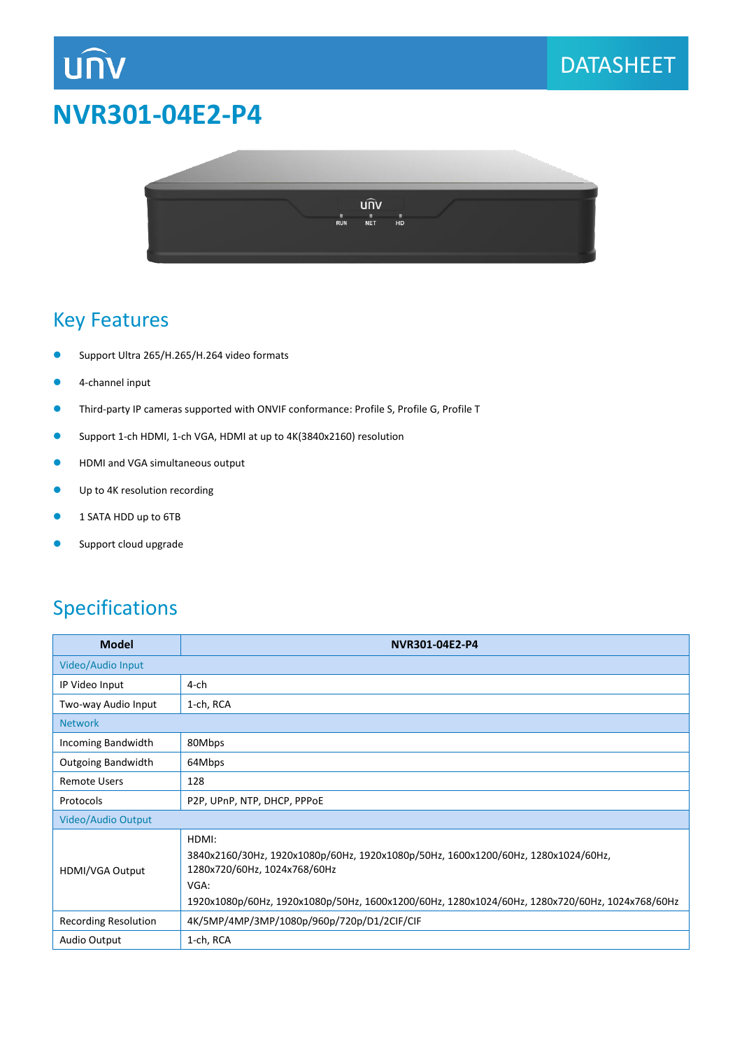# **NVR301-04E2-P4**



## Key Features

**UNV** 

- Support Ultra 265/H.265/H.264 video formats
- 4-channel input
- Third-party IP cameras supported with ONVIF conformance: Profile S, Profile G, Profile T
- Support 1-ch HDMI, 1-ch VGA, HDMI at up to 4K(3840x2160) resolution
- **•** HDMI and VGA simultaneous output
- **Up to 4K resolution recording**
- **1 SATA HDD up to 6TB**
- **Support cloud upgrade**

### Specifications

| <b>Model</b>              | NVR301-04E2-P4                                                                                                                                                                                                                       |
|---------------------------|--------------------------------------------------------------------------------------------------------------------------------------------------------------------------------------------------------------------------------------|
| Video/Audio Input         |                                                                                                                                                                                                                                      |
| IP Video Input            | $4$ -ch                                                                                                                                                                                                                              |
| Two-way Audio Input       | 1-ch, RCA                                                                                                                                                                                                                            |
| <b>Network</b>            |                                                                                                                                                                                                                                      |
| Incoming Bandwidth        | 80Mbps                                                                                                                                                                                                                               |
| <b>Outgoing Bandwidth</b> | 64Mbps                                                                                                                                                                                                                               |
| <b>Remote Users</b>       | 128                                                                                                                                                                                                                                  |
| Protocols                 | P2P, UPnP, NTP, DHCP, PPPoE                                                                                                                                                                                                          |
| <b>Video/Audio Output</b> |                                                                                                                                                                                                                                      |
| <b>HDMI/VGA Output</b>    | HDMI:<br>3840x2160/30Hz, 1920x1080p/60Hz, 1920x1080p/50Hz, 1600x1200/60Hz, 1280x1024/60Hz,<br>1280x720/60Hz, 1024x768/60Hz<br>VGA:<br>1920x1080p/60Hz, 1920x1080p/50Hz, 1600x1200/60Hz, 1280x1024/60Hz, 1280x720/60Hz, 1024x768/60Hz |
| Recording Resolution      | 4K/5MP/4MP/3MP/1080p/960p/720p/D1/2CIF/CIF                                                                                                                                                                                           |
| Audio Output              | 1-ch, RCA                                                                                                                                                                                                                            |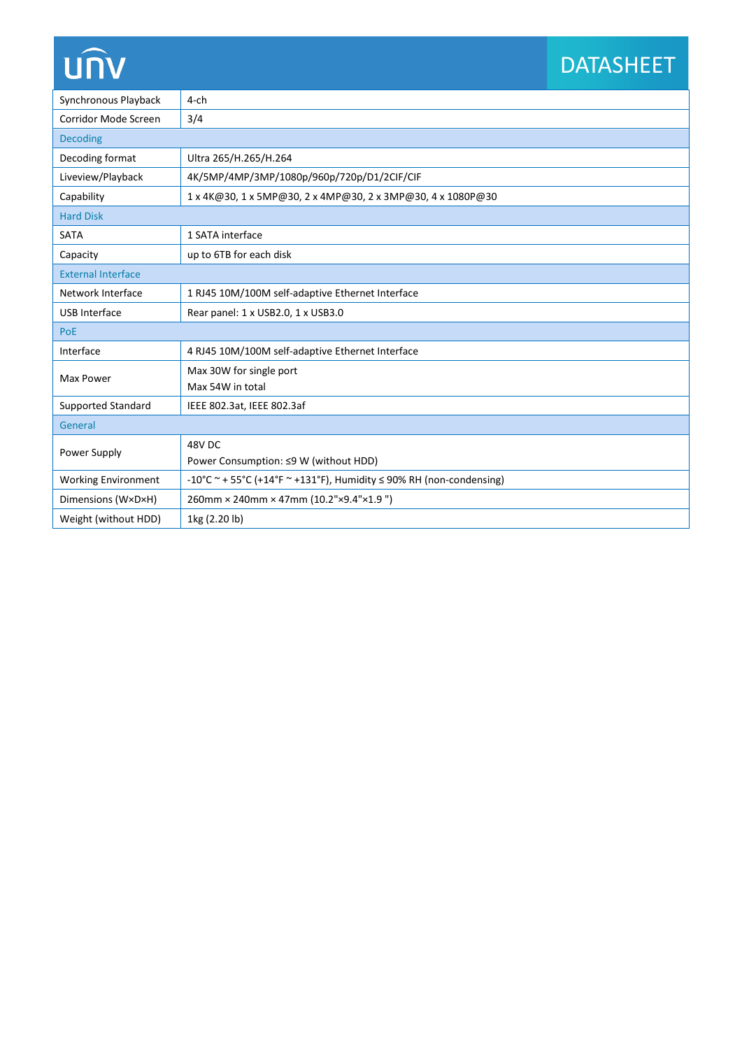# **UNV**

# DATASHEET

| Synchronous Playback       | $4$ -ch                                                                  |
|----------------------------|--------------------------------------------------------------------------|
| Corridor Mode Screen       | 3/4                                                                      |
| <b>Decoding</b>            |                                                                          |
| Decoding format            | Ultra 265/H.265/H.264                                                    |
| Liveview/Playback          | 4K/5MP/4MP/3MP/1080p/960p/720p/D1/2CIF/CIF                               |
| Capability                 | 1 x 4K@30, 1 x 5MP@30, 2 x 4MP@30, 2 x 3MP@30, 4 x 1080P@30              |
| <b>Hard Disk</b>           |                                                                          |
| <b>SATA</b>                | 1 SATA interface                                                         |
| Capacity                   | up to 6TB for each disk                                                  |
| <b>External Interface</b>  |                                                                          |
| Network Interface          | 1 RJ45 10M/100M self-adaptive Ethernet Interface                         |
| <b>USB Interface</b>       | Rear panel: 1 x USB2.0, 1 x USB3.0                                       |
| PoE                        |                                                                          |
| Interface                  | 4 RJ45 10M/100M self-adaptive Ethernet Interface                         |
| Max Power                  | Max 30W for single port                                                  |
|                            | Max 54W in total                                                         |
| Supported Standard         | IEEE 802.3at, IEEE 802.3af                                               |
| General                    |                                                                          |
| Power Supply               | 48V <sub>DC</sub>                                                        |
|                            | Power Consumption: ≤9 W (without HDD)                                    |
| <b>Working Environment</b> | -10°C ~ + 55°C (+14°F ~ +131°F), Humidity $\leq$ 90% RH (non-condensing) |
| Dimensions (W×D×H)         | 260mm × 240mm × 47mm (10.2"×9.4"×1.9")                                   |
| Weight (without HDD)       | 1kg (2.20 lb)                                                            |